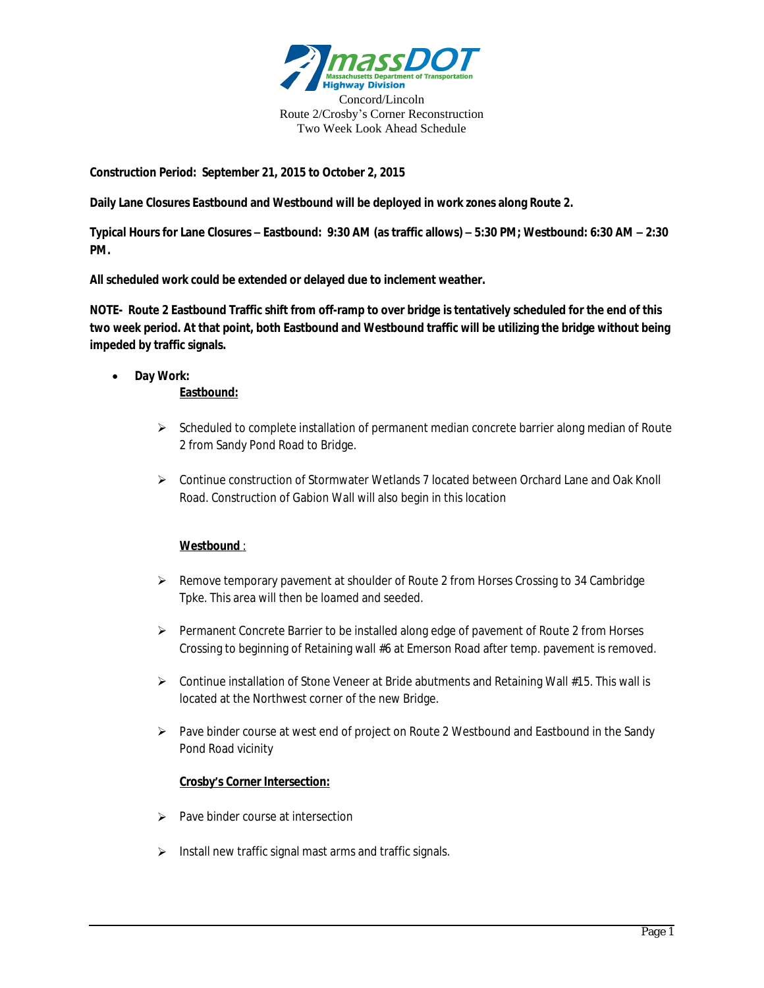

**Construction Period: September 21, 2015 to October 2, 2015**

**Daily Lane Closures Eastbound and Westbound will be deployed in work zones along Route 2.**

**Typical Hours for Lane Closures – Eastbound: 9:30 AM (as traffic allows) – 5:30 PM; Westbound: 6:30 AM – 2:30 PM.**

**All scheduled work could be extended or delayed due to inclement weather.**

**NOTE- Route 2 Eastbound Traffic shift from off-ramp to over bridge is tentatively scheduled for the end of this two week period. At that point, both Eastbound and Westbound traffic will be utilizing the bridge without being impeded by traffic signals.**

**Day Work:**

## **Eastbound:**

- $\triangleright$  Scheduled to complete installation of permanent median concrete barrier along median of Route 2 from Sandy Pond Road to Bridge.
- Continue construction of Stormwater Wetlands 7 located between Orchard Lane and Oak Knoll Road. Construction of Gabion Wall will also begin in this location

## **Westbound** :

- $\triangleright$  Remove temporary pavement at shoulder of Route 2 from Horses Crossing to 34 Cambridge Tpke. This area will then be loamed and seeded.
- Permanent Concrete Barrier to be installed along edge of pavement of Route 2 from Horses Crossing to beginning of Retaining wall #6 at Emerson Road after temp. pavement is removed.
- $\triangleright$  Continue installation of Stone Veneer at Bride abutments and Retaining Wall #15. This wall is located at the Northwest corner of the new Bridge.
- $\triangleright$  Pave binder course at west end of project on Route 2 Westbound and Eastbound in the Sandy Pond Road vicinity

## **Crosby's Corner Intersection:**

- $\triangleright$  Pave binder course at intersection
- $\triangleright$  Install new traffic signal mast arms and traffic signals.